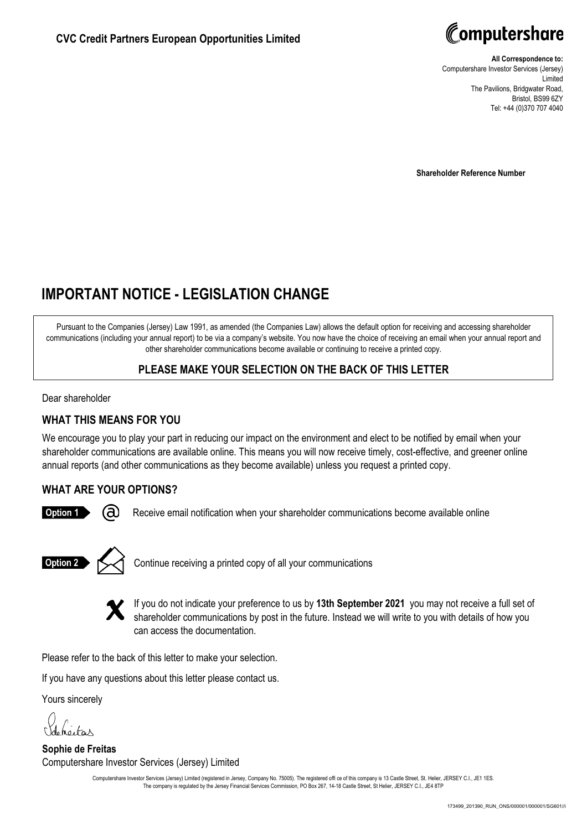

**All Correspondence to:** Computershare Investor Services (Jersey) Limited The Pavilions, Bridgwater Road, Bristol, BS99 6ZY Tel: +44 (0)370 707 4040

**Shareholder Reference Number**

# **IMPORTANT NOTICE - LEGISLATION CHANGE**

Pursuant to the Companies (Jersey) Law 1991, as amended (the Companies Law) allows the default option for receiving and accessing shareholder communications (including your annual report) to be via a company's website. You now have the choice of receiving an email when your annual report and other shareholder communications become available or continuing to receive a printed copy.

# **PLEASE MAKE YOUR SELECTION ON THE BACK OF THIS LETTER**

Dear shareholder

### **WHAT THIS MEANS FOR YOU**

We encourage you to play your part in reducing our impact on the environment and elect to be notified by email when your shareholder communications are available online. This means you will now receive timely, cost-effective, and greener online annual reports (and other communications as they become available) unless you request a printed copy.

# **WHAT ARE YOUR OPTIONS?**



Receive email notification when your shareholder communications become available online



Continue receiving a printed copy of all your communications



If you do not indicate your preference to us by **13th September 2021** you may not receive a full set of shareholder communications by post in the future. Instead we will write to you with details of how you can access the documentation.

Please refer to the back of this letter to make your selection.

If you have any questions about this letter please contact us.

Yours sincerely

Johneitas

**Sophie de Freitas** Computershare Investor Services (Jersey) Limited

Computershare Investor Services (Jersey) Limited (registered in Jersey, Company No. 75005). The registered offi ce of this company is 13 Castle Street, St. Helier, JERSEY C.I., JE1 1ES. The company is regulated by the Jersey Financial Services Commission, PO Box 267, 14-18 Castle Street, St Helier, JERSEY C.I., JE4 8TP